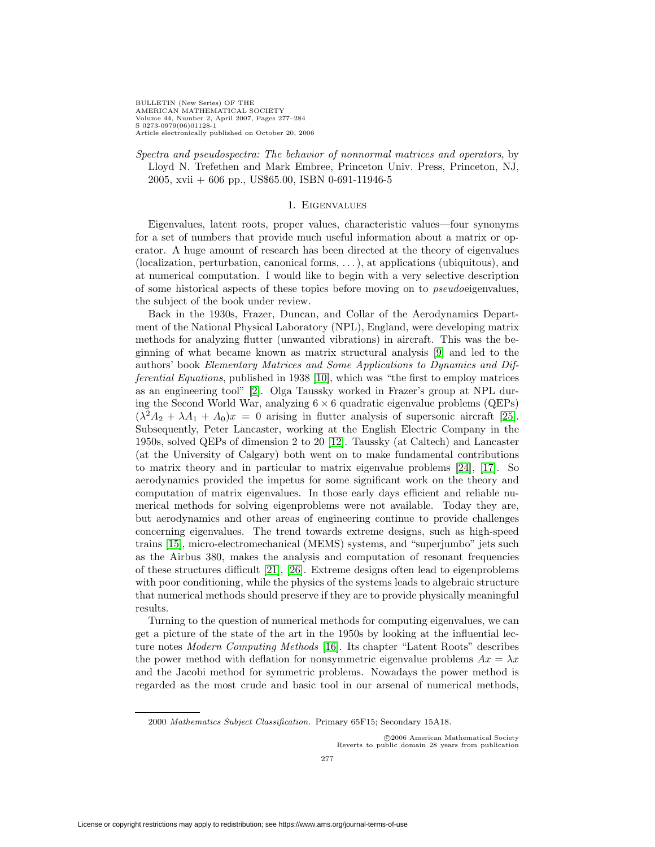BULLETIN (New Series) OF THE AMERICAN MATHEMATICAL SOCIETY Volume 44, Number 2, April 2007, Pages 277–284 S 0273-0979(06)01128-1 Article electronically published on October 20, 2006

Spectra and pseudospectra: The behavior of nonnormal matrices and operators, by Lloyd N. Trefethen and Mark Embree, Princeton Univ. Press, Princeton, NJ, 2005, xvii + 606 pp., US\$65.00, ISBN 0-691-11946-5

## 1. Eigenvalues

Eigenvalues, latent roots, proper values, characteristic values—four synonyms for a set of numbers that provide much useful information about a matrix or operator. A huge amount of research has been directed at the theory of eigenvalues (localization, perturbation, canonical forms, . . .), at applications (ubiquitous), and at numerical computation. I would like to begin with a very selective description of some historical aspects of these topics before moving on to pseudoeigenvalues, the subject of the book under review.

Back in the 1930s, Frazer, Duncan, and Collar of the Aerodynamics Department of the National Physical Laboratory (NPL), England, were developing matrix methods for analyzing flutter (unwanted vibrations) in aircraft. This was the beginning of what became known as matrix structural analysis [\[9\]](#page-6-0) and led to the authors' book Elementary Matrices and Some Applications to Dynamics and Differential Equations, published in 1938 [\[10\]](#page-6-1), which was "the first to employ matrices as an engineering tool" [\[2\]](#page-6-2). Olga Taussky worked in Frazer's group at NPL during the Second World War, analyzing  $6 \times 6$  quadratic eigenvalue problems (QEPs)  $(\lambda^2 A_2 + \lambda A_1 + A_0)x = 0$  arising in flutter analysis of supersonic aircraft [\[25\]](#page-7-0). Subsequently, Peter Lancaster, working at the English Electric Company in the 1950s, solved QEPs of dimension 2 to 20 [\[12\]](#page-7-1). Taussky (at Caltech) and Lancaster (at the University of Calgary) both went on to make fundamental contributions to matrix theory and in particular to matrix eigenvalue problems [\[24\]](#page-7-2), [\[17\]](#page-7-3). So aerodynamics provided the impetus for some significant work on the theory and computation of matrix eigenvalues. In those early days efficient and reliable numerical methods for solving eigenproblems were not available. Today they are, but aerodynamics and other areas of engineering continue to provide challenges concerning eigenvalues. The trend towards extreme designs, such as high-speed trains [\[15\]](#page-7-4), micro-electromechanical (MEMS) systems, and "superjumbo" jets such as the Airbus 380, makes the analysis and computation of resonant frequencies of these structures difficult [\[21\]](#page-7-5), [\[26\]](#page-7-6). Extreme designs often lead to eigenproblems with poor conditioning, while the physics of the systems leads to algebraic structure that numerical methods should preserve if they are to provide physically meaningful results.

Turning to the question of numerical methods for computing eigenvalues, we can get a picture of the state of the art in the 1950s by looking at the influential lecture notes Modern Computing Methods [\[16\]](#page-7-7). Its chapter "Latent Roots" describes the power method with deflation for nonsymmetric eigenvalue problems  $Ax = \lambda x$ and the Jacobi method for symmetric problems. Nowadays the power method is regarded as the most crude and basic tool in our arsenal of numerical methods,

c 2006 American Mathematical Society Reverts to public domain 28 years from publication

<sup>2000</sup> Mathematics Subject Classification. Primary 65F15; Secondary 15A18.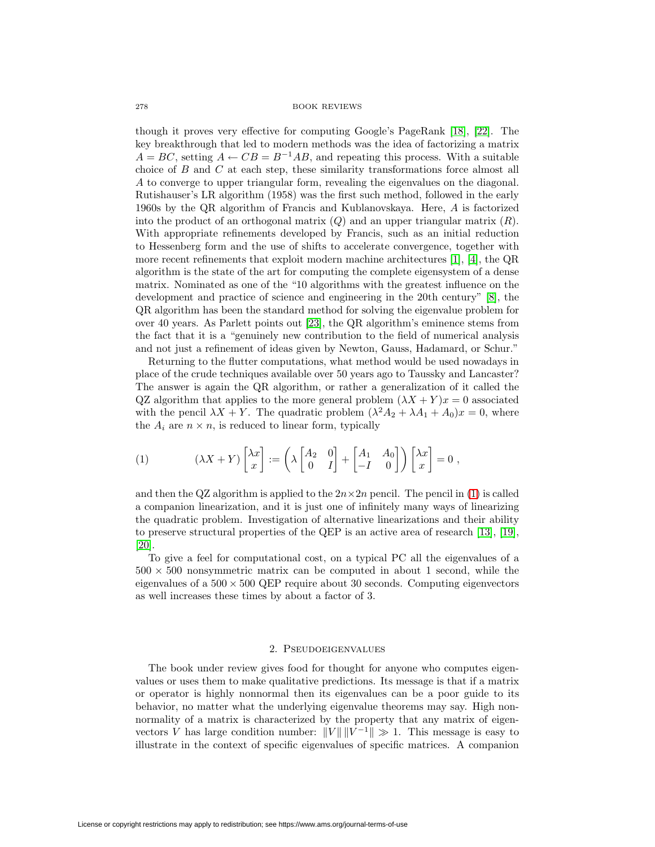though it proves very effective for computing Google's PageRank [\[18\]](#page-7-8), [\[22\]](#page-7-9). The key breakthrough that led to modern methods was the idea of factorizing a matrix  $A = BC$ , setting  $A \leftarrow CB = B^{-1}AB$ , and repeating this process. With a suitable choice of  $B$  and  $C$  at each step, these similarity transformations force almost all A to converge to upper triangular form, revealing the eigenvalues on the diagonal. Rutishauser's LR algorithm (1958) was the first such method, followed in the early 1960s by the QR algorithm of Francis and Kublanovskaya. Here, A is factorized into the product of an orthogonal matrix  $(Q)$  and an upper triangular matrix  $(R)$ . With appropriate refinements developed by Francis, such as an initial reduction to Hessenberg form and the use of shifts to accelerate convergence, together with more recent refinements that exploit modern machine architectures [\[1\]](#page-6-3), [\[4\]](#page-6-4), the QR algorithm is the state of the art for computing the complete eigensystem of a dense matrix. Nominated as one of the "10 algorithms with the greatest influence on the development and practice of science and engineering in the 20th century" [\[8\]](#page-6-5), the QR algorithm has been the standard method for solving the eigenvalue problem for over 40 years. As Parlett points out [\[23\]](#page-7-10), the QR algorithm's eminence stems from the fact that it is a "genuinely new contribution to the field of numerical analysis and not just a refinement of ideas given by Newton, Gauss, Hadamard, or Schur."

Returning to the flutter computations, what method would be used nowadays in place of the crude techniques available over 50 years ago to Taussky and Lancaster? The answer is again the QR algorithm, or rather a generalization of it called the QZ algorithm that applies to the more general problem  $(\lambda X + Y)x = 0$  associated with the pencil  $\lambda X + Y$ . The quadratic problem  $(\lambda^2 A_2 + \lambda A_1 + A_0)x = 0$ , where the  $A_i$  are  $n \times n$ , is reduced to linear form, typically

<span id="page-1-0"></span>(1) 
$$
(\lambda X + Y) \begin{bmatrix} \lambda x \\ x \end{bmatrix} := \left( \lambda \begin{bmatrix} A_2 & 0 \\ 0 & I \end{bmatrix} + \begin{bmatrix} A_1 & A_0 \\ -I & 0 \end{bmatrix} \right) \begin{bmatrix} \lambda x \\ x \end{bmatrix} = 0,
$$

and then the QZ algorithm is applied to the  $2n \times 2n$  pencil. The pencil in [\(1\)](#page-1-0) is called a companion linearization, and it is just one of infinitely many ways of linearizing the quadratic problem. Investigation of alternative linearizations and their ability to preserve structural properties of the QEP is an active area of research [\[13\]](#page-7-11), [\[19\]](#page-7-12), [\[20\]](#page-7-13).

To give a feel for computational cost, on a typical PC all the eigenvalues of a  $500 \times 500$  nonsymmetric matrix can be computed in about 1 second, while the eigenvalues of a  $500 \times 500$  QEP require about 30 seconds. Computing eigenvectors as well increases these times by about a factor of 3.

## 2. Pseudoeigenvalues

The book under review gives food for thought for anyone who computes eigenvalues or uses them to make qualitative predictions. Its message is that if a matrix or operator is highly nonnormal then its eigenvalues can be a poor guide to its behavior, no matter what the underlying eigenvalue theorems may say. High nonnormality of a matrix is characterized by the property that any matrix of eigenvectors V has large condition number:  $||V|| ||V^{-1}|| \gg 1$ . This message is easy to illustrate in the context of specific eigenvalues of specific matrices. A companion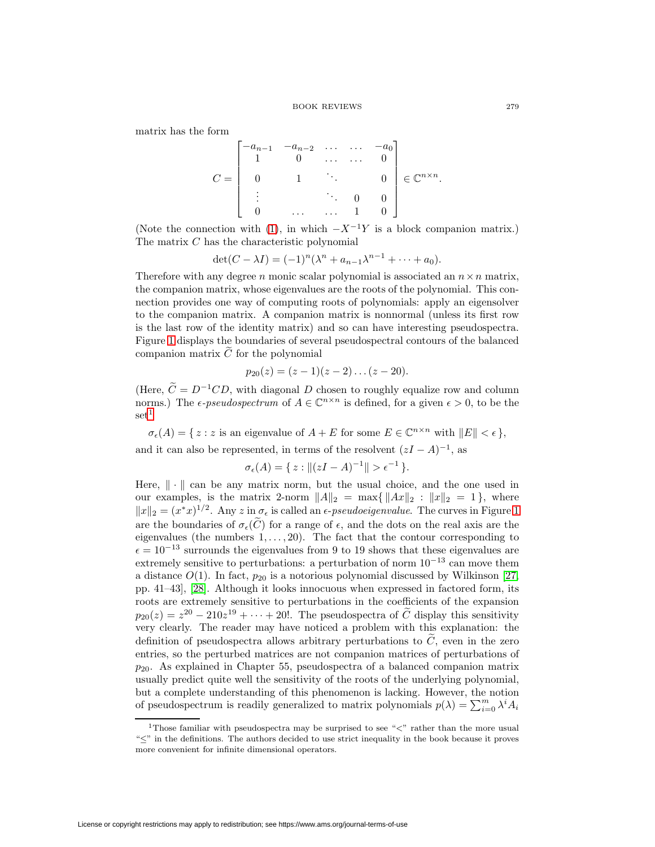matrix has the form

$$
C = \begin{bmatrix} -a_{n-1} & -a_{n-2} & \dots & \dots & -a_0 \\ 1 & 0 & \dots & \dots & 0 \\ 0 & 1 & \ddots & & 0 \\ \vdots & & & \ddots & 0 & 0 \\ 0 & \dots & \dots & 1 & 0 \end{bmatrix} \in \mathbb{C}^{n \times n}.
$$

(Note the connection with [\(1\)](#page-1-0), in which  $-X^{-1}Y$  is a block companion matrix.) The matrix C has the characteristic polynomial

$$
\det(C - \lambda I) = (-1)^n (\lambda^n + a_{n-1} \lambda^{n-1} + \dots + a_0).
$$

Therefore with any degree n monic scalar polynomial is associated an  $n \times n$  matrix, the companion matrix, whose eigenvalues are the roots of the polynomial. This connection provides one way of computing roots of polynomials: apply an eigensolver to the companion matrix. A companion matrix is nonnormal (unless its first row is the last row of the identity matrix) and so can have interesting pseudospectra. Figure [1](#page-3-0) displays the boundaries of several pseudospectral contours of the balanced companion matrix  $\tilde{C}$  for the polynomial

$$
p_{20}(z) = (z-1)(z-2)\dots(z-20).
$$

(Here,  $\tilde{C} = D^{-1}CD$ , with diagonal D chosen to roughly equalize row and column norms.) The  $\epsilon$ -pseudospectrum of  $A \in \mathbb{C}^{n \times n}$  is defined, for a given  $\epsilon > 0$ , to be the  $\mathrm{set}^1$  $\mathrm{set}^1$ 

 $\sigma_{\epsilon}(A) = \{ z : z \text{ is an eigenvalue of } A + E \text{ for some } E \in \mathbb{C}^{n \times n} \text{ with } ||E|| < \epsilon \},\$ and it can also be represented, in terms of the resolvent  $(zI - A)^{-1}$ , as

$$
\sigma_{\epsilon}(A) = \{ z : ||(zI - A)^{-1}|| > \epsilon^{-1} \}.
$$

Here,  $\|\cdot\|$  can be any matrix norm, but the usual choice, and the one used in our examples, is the matrix 2-norm  $||A||_2 = \max\{||Ax||_2 : ||x||_2 = 1\}$ , where  $||x||_2 = (x^*x)^{1/2}$ . Any z in  $\sigma_{\epsilon}$  is called an  $\epsilon$ -pseudoeigenvalue. The curves in Figure [1](#page-3-0) are the boundaries of  $\sigma_{\epsilon}(C)$  for a range of  $\epsilon$ , and the dots on the real axis are the eigenvalues (the numbers  $1, \ldots, 20$ ). The fact that the contour corresponding to  $\epsilon = 10^{-13}$  surrounds the eigenvalues from 9 to 19 shows that these eigenvalues are extremely sensitive to perturbations: a perturbation of norm  $10^{-13}$  can move them a distance  $O(1)$ . In fact,  $p_{20}$  is a notorious polynomial discussed by Wilkinson [\[27,](#page-7-14) pp. 41–43], [\[28\]](#page-7-15). Although it looks innocuous when expressed in factored form, its roots are extremely sensitive to perturbations in the coefficients of the expansion  $p_{20}(z) = z^{20} - 210z^{19} + \cdots + 20!$ . The pseudospectra of  $\tilde{C}$  display this sensitivity very clearly. The reader may have noticed a problem with this explanation: the definition of pseudospectra allows arbitrary perturbations to  $\tilde{C}$ , even in the zero entries, so the perturbed matrices are not companion matrices of perturbations of  $p_{20}$ . As explained in Chapter 55, pseudospectra of a balanced companion matrix usually predict quite well the sensitivity of the roots of the underlying polynomial, but a complete understanding of this phenomenon is lacking. However, the notion of pseudospectrum is readily generalized to matrix polynomials  $p(\lambda) = \sum_{i=0}^{m} \lambda^i A_i$ 

<span id="page-2-0"></span><sup>&</sup>lt;sup>1</sup>Those familiar with pseudospectra may be surprised to see " $\lt$ " rather than the more usual "≤" in the definitions. The authors decided to use strict inequality in the book because it proves more convenient for infinite dimensional operators.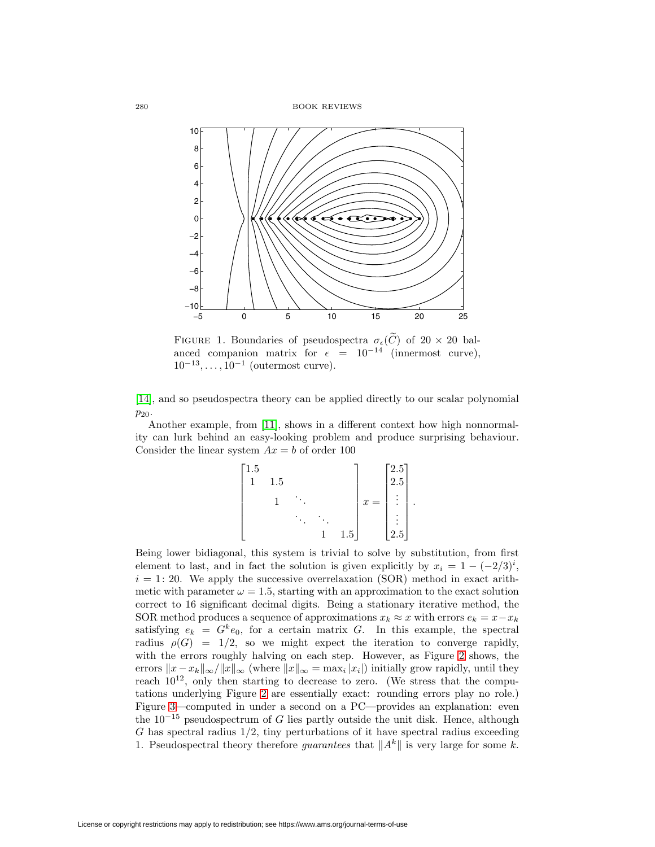280 BOOK REVIEWS



<span id="page-3-0"></span>FIGURE 1. Boundaries of pseudospectra  $\sigma_{\epsilon}(\tilde{C})$  of  $20 \times 20$  balanced companion matrix for  $\epsilon = 10^{-14}$  (innermost curve),  $10^{-13},\ldots,10^{-1}$  (outermost curve).

[\[14\]](#page-7-16), and so pseudospectra theory can be applied directly to our scalar polynomial  $p_{20}$ .

Another example, from [\[11\]](#page-7-17), shows in a different context how high nonnormality can lurk behind an easy-looking problem and produce surprising behaviour. Consider the linear system  $Ax = b$  of order 100

| 1.5 |     |  |          |                         | $\lceil 2.5 \rceil$ |  |
|-----|-----|--|----------|-------------------------|---------------------|--|
|     | 1.5 |  |          |                         | 2.5                 |  |
|     |     |  |          | $=$<br>$\boldsymbol{x}$ | $\bullet$<br>٠      |  |
|     |     |  |          |                         | ٠                   |  |
|     |     |  | $_{1.5}$ |                         | 2.5                 |  |

Being lower bidiagonal, this system is trivial to solve by substitution, from first element to last, and in fact the solution is given explicitly by  $x_i = 1 - (-2/3)^i$ ,  $i = 1: 20$ . We apply the successive overrelaxation (SOR) method in exact arithmetic with parameter  $\omega = 1.5$ , starting with an approximation to the exact solution correct to 16 significant decimal digits. Being a stationary iterative method, the SOR method produces a sequence of approximations  $x_k \approx x$  with errors  $e_k = x - x_k$ satisfying  $e_k = G^k e_0$ , for a certain matrix G. In this example, the spectral radius  $\rho(G) = 1/2$ , so we might expect the iteration to converge rapidly, with the errors roughly halving on each step. However, as Figure [2](#page-4-0) shows, the errors  $||x - x_k||_{\infty}/||x||_{\infty}$  (where  $||x||_{\infty} = \max_i |x_i|$ ) initially grow rapidly, until they reach  $10^{12}$ , only then starting to decrease to zero. (We stress that the computations underlying Figure [2](#page-4-0) are essentially exact: rounding errors play no role.) Figure [3—](#page-4-1)computed in under a second on a PC—provides an explanation: even the  $10^{-15}$  pseudospectrum of G lies partly outside the unit disk. Hence, although  $G$  has spectral radius  $1/2$ , tiny perturbations of it have spectral radius exceeding 1. Pseudospectral theory therefore *guarantees* that  $||A^k||$  is very large for some k.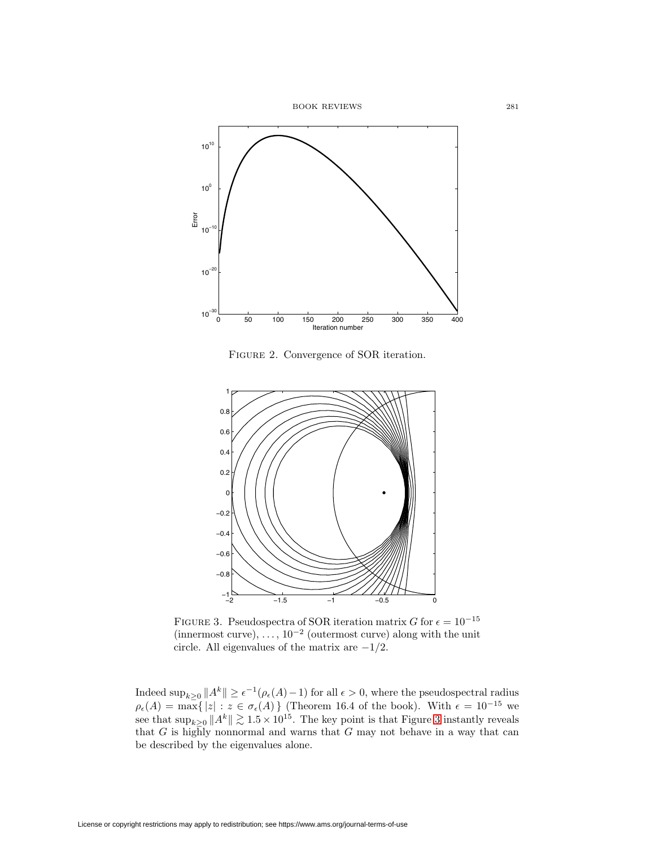

Figure 2. Convergence of SOR iteration.

<span id="page-4-0"></span>

<span id="page-4-1"></span>FIGURE 3. Pseudospectra of SOR iteration matrix G for  $\epsilon = 10^{-15}$ (innermost curve),  $\dots$ , 10<sup>-2</sup> (outermost curve) along with the unit circle. All eigenvalues of the matrix are  $-1/2$ .

Indeed  $\sup_{k\geq 0} ||A^k|| \geq \epsilon^{-1}(\rho_{\epsilon}(A)-1)$  for all  $\epsilon > 0$ , where the pseudospectral radius  $\rho_{\epsilon}(A) = \max\{|z| : z \in \sigma_{\epsilon}(A)\}\$  (Theorem 16.4 of the book). With  $\epsilon = 10^{-15}$  we see that  $\sup_{k\geq 0} ||A^k|| \gtrsim 1.5 \times 10^{15}$ . The key point is that Figure [3](#page-4-1) instantly reveals that  $G$  is highly nonnormal and warns that  $G$  may not behave in a way that can be described by the eigenvalues alone.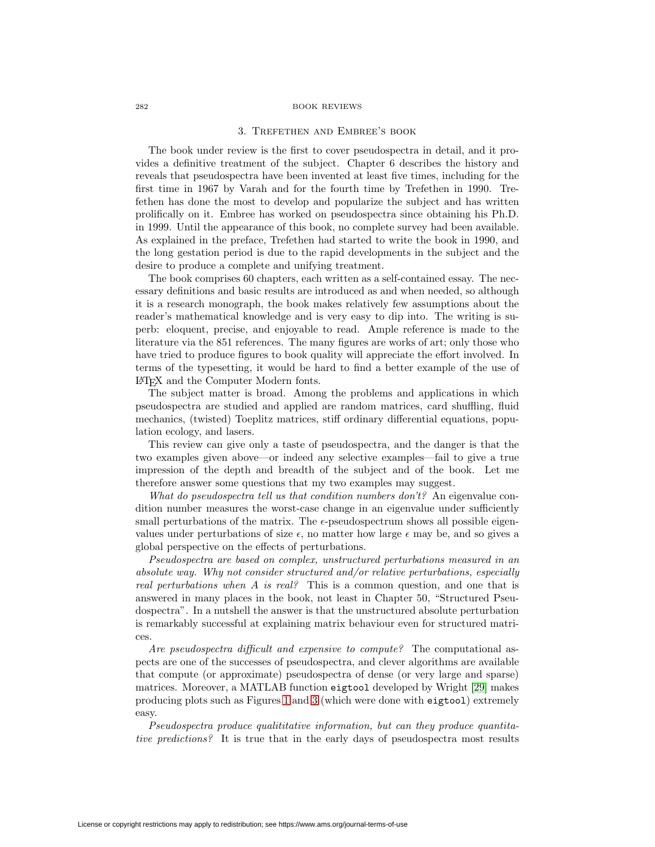## 3. Trefethen and Embree's book

The book under review is the first to cover pseudospectra in detail, and it provides a definitive treatment of the subject. Chapter 6 describes the history and reveals that pseudospectra have been invented at least five times, including for the first time in 1967 by Varah and for the fourth time by Trefethen in 1990. Trefethen has done the most to develop and popularize the subject and has written prolifically on it. Embree has worked on pseudospectra since obtaining his Ph.D. in 1999. Until the appearance of this book, no complete survey had been available. As explained in the preface, Trefethen had started to write the book in 1990, and the long gestation period is due to the rapid developments in the subject and the desire to produce a complete and unifying treatment.

The book comprises 60 chapters, each written as a self-contained essay. The necessary definitions and basic results are introduced as and when needed, so although it is a research monograph, the book makes relatively few assumptions about the reader's mathematical knowledge and is very easy to dip into. The writing is superb: eloquent, precise, and enjoyable to read. Ample reference is made to the literature via the 851 references. The many figures are works of art; only those who have tried to produce figures to book quality will appreciate the effort involved. In terms of the typesetting, it would be hard to find a better example of the use of LATEX and the Computer Modern fonts.

The subject matter is broad. Among the problems and applications in which pseudospectra are studied and applied are random matrices, card shuffling, fluid mechanics, (twisted) Toeplitz matrices, stiff ordinary differential equations, population ecology, and lasers.

This review can give only a taste of pseudospectra, and the danger is that the two examples given above—or indeed any selective examples—fail to give a true impression of the depth and breadth of the subject and of the book. Let me therefore answer some questions that my two examples may suggest.

What do pseudospectra tell us that condition numbers don't? An eigenvalue condition number measures the worst-case change in an eigenvalue under sufficiently small perturbations of the matrix. The  $\epsilon$ -pseudospectrum shows all possible eigenvalues under perturbations of size  $\epsilon$ , no matter how large  $\epsilon$  may be, and so gives a global perspective on the effects of perturbations.

Pseudospectra are based on complex, unstructured perturbations measured in an absolute way. Why not consider structured and/or relative perturbations, especially real perturbations when A is real? This is a common question, and one that is answered in many places in the book, not least in Chapter 50, "Structured Pseudospectra". In a nutshell the answer is that the unstructured absolute perturbation is remarkably successful at explaining matrix behaviour even for structured matrices.

Are pseudospectra difficult and expensive to compute? The computational aspects are one of the successes of pseudospectra, and clever algorithms are available that compute (or approximate) pseudospectra of dense (or very large and sparse) matrices. Moreover, a MATLAB function eigtool developed by Wright [\[29\]](#page-7-18) makes producing plots such as Figures [1](#page-3-0) and [3](#page-4-1) (which were done with eigtool) extremely easy.

Pseudospectra produce qualititative information, but can they produce quantitative predictions? It is true that in the early days of pseudospectra most results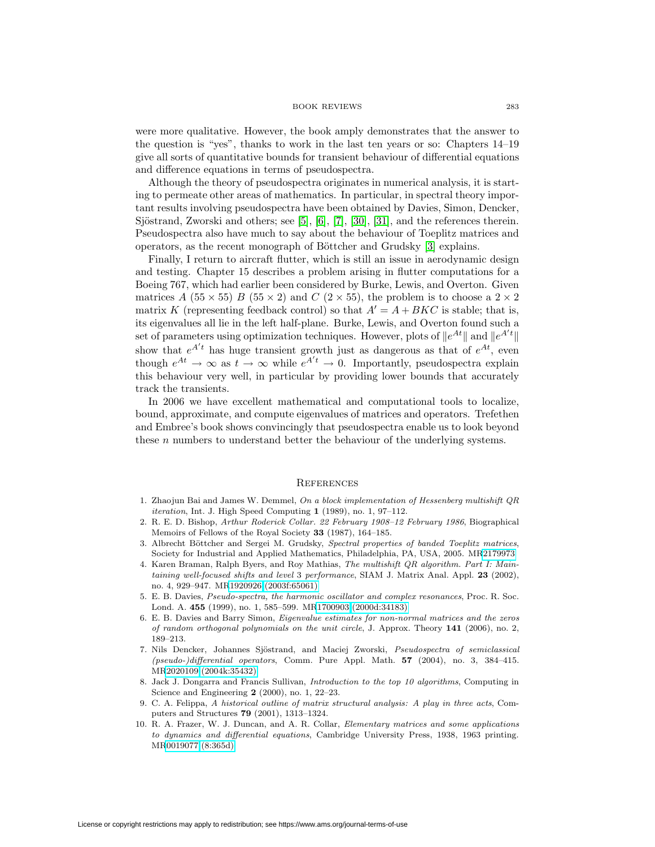were more qualitative. However, the book amply demonstrates that the answer to the question is "yes", thanks to work in the last ten years or so: Chapters 14–19 give all sorts of quantitative bounds for transient behaviour of differential equations and difference equations in terms of pseudospectra.

Although the theory of pseudospectra originates in numerical analysis, it is starting to permeate other areas of mathematics. In particular, in spectral theory important results involving pseudospectra have been obtained by Davies, Simon, Dencker, Sjöstrand, Zworski and others; see [\[5\]](#page-6-6), [\[6\]](#page-6-7), [\[7\]](#page-6-8), [\[30\]](#page-7-19), [\[31\]](#page-7-20), and the references therein. Pseudospectra also have much to say about the behaviour of Toeplitz matrices and operators, as the recent monograph of Böttcher and Grudsky [\[3\]](#page-6-9) explains.

Finally, I return to aircraft flutter, which is still an issue in aerodynamic design and testing. Chapter 15 describes a problem arising in flutter computations for a Boeing 767, which had earlier been considered by Burke, Lewis, and Overton. Given matrices A (55  $\times$  55) B (55  $\times$  2) and C (2  $\times$  55), the problem is to choose a 2  $\times$  2 matrix K (representing feedback control) so that  $A' = A + BKC$  is stable; that is, its eigenvalues all lie in the left half-plane. Burke, Lewis, and Overton found such a set of parameters using optimization techniques. However, plots of  $||e^{At}||$  and  $||e^{A't}||$ show that  $e^{A't}$  has huge transient growth just as dangerous as that of  $e^{At}$ , even though  $e^{At} \to \infty$  as  $t \to \infty$  while  $e^{A't} \to 0$ . Importantly, pseudospectra explain this behaviour very well, in particular by providing lower bounds that accurately track the transients.

In 2006 we have excellent mathematical and computational tools to localize, bound, approximate, and compute eigenvalues of matrices and operators. Trefethen and Embree's book shows convincingly that pseudospectra enable us to look beyond these n numbers to understand better the behaviour of the underlying systems.

# **REFERENCES**

- <span id="page-6-3"></span>1. Zhaojun Bai and James W. Demmel, On a block implementation of Hessenberg multishift QR iteration, Int. J. High Speed Computing **1** (1989), no. 1, 97–112.
- <span id="page-6-2"></span>2. R. E. D. Bishop, Arthur Roderick Collar. 22 February 1908–12 February 1986, Biographical Memoirs of Fellows of the Royal Society **33** (1987), 164–185.
- <span id="page-6-9"></span>3. Albrecht Böttcher and Sergei M. Grudsky, Spectral properties of banded Toeplitz matrices, Society for Industrial and Applied Mathematics, Philadelphia, PA, USA, 2005. M[R2179973](http://www.ams.org/mathscinet-getitem?mr=2179973)
- <span id="page-6-4"></span>4. Karen Braman, Ralph Byers, and Roy Mathias, The multishift QR algorithm. Part I: Maintaining well-focused shifts and level 3 performance, SIAM J. Matrix Anal. Appl. **23** (2002), no. 4, 929–947. M[R1920926 \(2003f:65061\)](http://www.ams.org/mathscinet-getitem?mr=1920926)
- <span id="page-6-6"></span>5. E. B. Davies, Pseudo-spectra, the harmonic oscillator and complex resonances, Proc. R. Soc. Lond. A. **455** (1999), no. 1, 585–599. M[R1700903 \(2000d:34183\)](http://www.ams.org/mathscinet-getitem?mr=1700903)
- <span id="page-6-7"></span>6. E. B. Davies and Barry Simon, Eigenvalue estimates for non-normal matrices and the zeros of random orthogonal polynomials on the unit circle, J. Approx. Theory **141** (2006), no. 2, 189–213.
- <span id="page-6-8"></span>7. Nils Dencker, Johannes Sjöstrand, and Maciej Zworski, Pseudospectra of semiclassical (pseudo-)differential operators, Comm. Pure Appl. Math. **57** (2004), no. 3, 384–415. M[R2020109 \(2004k:35432\)](http://www.ams.org/mathscinet-getitem?mr=2020109)
- <span id="page-6-5"></span>8. Jack J. Dongarra and Francis Sullivan, Introduction to the top 10 algorithms, Computing in Science and Engineering **2** (2000), no. 1, 22–23.
- <span id="page-6-0"></span>9. C. A. Felippa, A historical outline of matrix structural analysis: A play in three acts, Computers and Structures **79** (2001), 1313–1324.
- <span id="page-6-1"></span>10. R. A. Frazer, W. J. Duncan, and A. R. Collar, Elementary matrices and some applications to dynamics and differential equations, Cambridge University Press, 1938, 1963 printing. M[R0019077 \(8:365d\)](http://www.ams.org/mathscinet-getitem?mr=0019077)